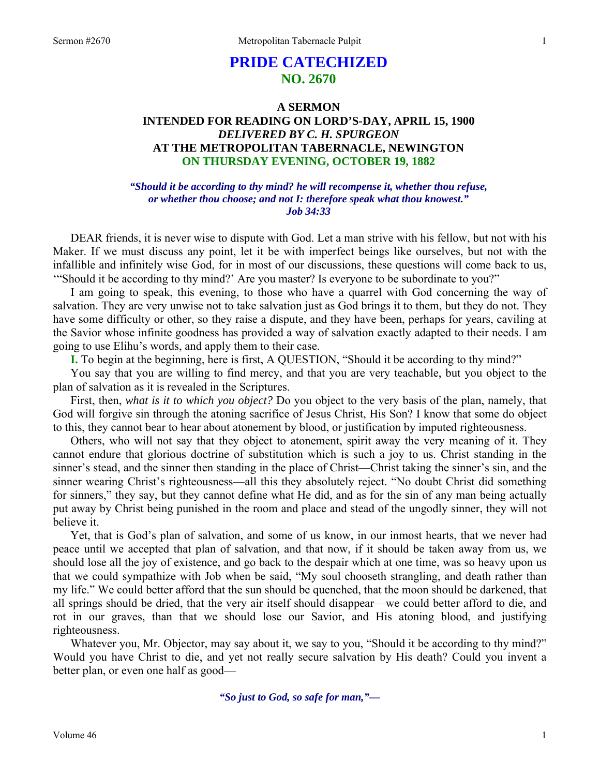# **PRIDE CATECHIZED NO. 2670**

## **A SERMON INTENDED FOR READING ON LORD'S-DAY, APRIL 15, 1900**  *DELIVERED BY C. H. SPURGEON*  **AT THE METROPOLITAN TABERNACLE, NEWINGTON ON THURSDAY EVENING, OCTOBER 19, 1882**

## *"Should it be according to thy mind? he will recompense it, whether thou refuse, or whether thou choose; and not I: therefore speak what thou knowest." Job 34:33*

DEAR friends, it is never wise to dispute with God. Let a man strive with his fellow, but not with his Maker. If we must discuss any point, let it be with imperfect beings like ourselves, but not with the infallible and infinitely wise God, for in most of our discussions, these questions will come back to us, '"Should it be according to thy mind?' Are you master? Is everyone to be subordinate to you?"

I am going to speak, this evening, to those who have a quarrel with God concerning the way of salvation. They are very unwise not to take salvation just as God brings it to them, but they do not. They have some difficulty or other, so they raise a dispute, and they have been, perhaps for years, caviling at the Savior whose infinite goodness has provided a way of salvation exactly adapted to their needs. I am going to use Elihu's words, and apply them to their case.

**I.** To begin at the beginning, here is first, A QUESTION, "Should it be according to thy mind?"

You say that you are willing to find mercy, and that you are very teachable, but you object to the plan of salvation as it is revealed in the Scriptures.

First, then, *what is it to which you object?* Do you object to the very basis of the plan, namely, that God will forgive sin through the atoning sacrifice of Jesus Christ, His Son? I know that some do object to this, they cannot bear to hear about atonement by blood, or justification by imputed righteousness.

Others, who will not say that they object to atonement, spirit away the very meaning of it. They cannot endure that glorious doctrine of substitution which is such a joy to us. Christ standing in the sinner's stead, and the sinner then standing in the place of Christ—Christ taking the sinner's sin, and the sinner wearing Christ's righteousness—all this they absolutely reject. "No doubt Christ did something for sinners," they say, but they cannot define what He did, and as for the sin of any man being actually put away by Christ being punished in the room and place and stead of the ungodly sinner, they will not believe it.

Yet, that is God's plan of salvation, and some of us know, in our inmost hearts, that we never had peace until we accepted that plan of salvation, and that now, if it should be taken away from us, we should lose all the joy of existence, and go back to the despair which at one time, was so heavy upon us that we could sympathize with Job when be said, "My soul chooseth strangling, and death rather than my life." We could better afford that the sun should be quenched, that the moon should be darkened, that all springs should be dried, that the very air itself should disappear—we could better afford to die, and rot in our graves, than that we should lose our Savior, and His atoning blood, and justifying righteousness.

Whatever you, Mr. Objector, may say about it, we say to you, "Should it be according to thy mind?" Would you have Christ to die, and yet not really secure salvation by His death? Could you invent a better plan, or even one half as good—

*"So just to God, so safe for man,"—*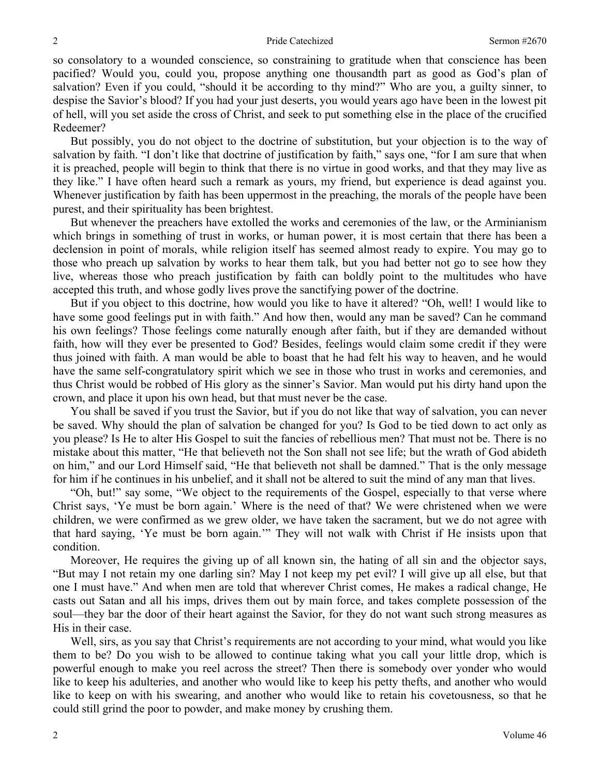so consolatory to a wounded conscience, so constraining to gratitude when that conscience has been pacified? Would you, could you, propose anything one thousandth part as good as God's plan of salvation? Even if you could, "should it be according to thy mind?" Who are you, a guilty sinner, to despise the Savior's blood? If you had your just deserts, you would years ago have been in the lowest pit of hell, will you set aside the cross of Christ, and seek to put something else in the place of the crucified Redeemer?

But possibly, you do not object to the doctrine of substitution, but your objection is to the way of salvation by faith. "I don't like that doctrine of justification by faith," says one, "for I am sure that when it is preached, people will begin to think that there is no virtue in good works, and that they may live as they like." I have often heard such a remark as yours, my friend, but experience is dead against you. Whenever justification by faith has been uppermost in the preaching, the morals of the people have been purest, and their spirituality has been brightest.

But whenever the preachers have extolled the works and ceremonies of the law, or the Arminianism which brings in something of trust in works, or human power, it is most certain that there has been a declension in point of morals, while religion itself has seemed almost ready to expire. You may go to those who preach up salvation by works to hear them talk, but you had better not go to see how they live, whereas those who preach justification by faith can boldly point to the multitudes who have accepted this truth, and whose godly lives prove the sanctifying power of the doctrine.

But if you object to this doctrine, how would you like to have it altered? "Oh, well! I would like to have some good feelings put in with faith." And how then, would any man be saved? Can he command his own feelings? Those feelings come naturally enough after faith, but if they are demanded without faith, how will they ever be presented to God? Besides, feelings would claim some credit if they were thus joined with faith. A man would be able to boast that he had felt his way to heaven, and he would have the same self-congratulatory spirit which we see in those who trust in works and ceremonies, and thus Christ would be robbed of His glory as the sinner's Savior. Man would put his dirty hand upon the crown, and place it upon his own head, but that must never be the case.

You shall be saved if you trust the Savior, but if you do not like that way of salvation, you can never be saved. Why should the plan of salvation be changed for you? Is God to be tied down to act only as you please? Is He to alter His Gospel to suit the fancies of rebellious men? That must not be. There is no mistake about this matter, "He that believeth not the Son shall not see life; but the wrath of God abideth on him," and our Lord Himself said, "He that believeth not shall be damned." That is the only message for him if he continues in his unbelief, and it shall not be altered to suit the mind of any man that lives.

"Oh, but!" say some, "We object to the requirements of the Gospel, especially to that verse where Christ says, 'Ye must be born again.' Where is the need of that? We were christened when we were children, we were confirmed as we grew older, we have taken the sacrament, but we do not agree with that hard saying, 'Ye must be born again.'" They will not walk with Christ if He insists upon that condition.

Moreover, He requires the giving up of all known sin, the hating of all sin and the objector says, "But may I not retain my one darling sin? May I not keep my pet evil? I will give up all else, but that one I must have." And when men are told that wherever Christ comes, He makes a radical change, He casts out Satan and all his imps, drives them out by main force, and takes complete possession of the soul—they bar the door of their heart against the Savior, for they do not want such strong measures as His in their case.

Well, sirs, as you say that Christ's requirements are not according to your mind, what would you like them to be? Do you wish to be allowed to continue taking what you call your little drop, which is powerful enough to make you reel across the street? Then there is somebody over yonder who would like to keep his adulteries, and another who would like to keep his petty thefts, and another who would like to keep on with his swearing, and another who would like to retain his covetousness, so that he could still grind the poor to powder, and make money by crushing them.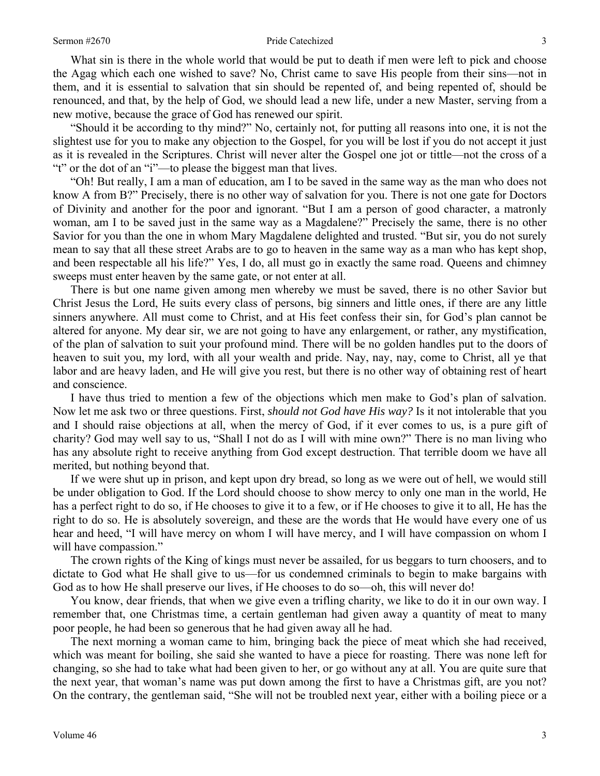#### Sermon #2670 3

What sin is there in the whole world that would be put to death if men were left to pick and choose the Agag which each one wished to save? No, Christ came to save His people from their sins—not in them, and it is essential to salvation that sin should be repented of, and being repented of, should be renounced, and that, by the help of God, we should lead a new life, under a new Master, serving from a new motive, because the grace of God has renewed our spirit.

"Should it be according to thy mind?" No, certainly not, for putting all reasons into one, it is not the slightest use for you to make any objection to the Gospel, for you will be lost if you do not accept it just as it is revealed in the Scriptures. Christ will never alter the Gospel one jot or tittle—not the cross of a "t" or the dot of an "i"—to please the biggest man that lives.

"Oh! But really, I am a man of education, am I to be saved in the same way as the man who does not know A from B?" Precisely, there is no other way of salvation for you. There is not one gate for Doctors of Divinity and another for the poor and ignorant. "But I am a person of good character, a matronly woman, am I to be saved just in the same way as a Magdalene?" Precisely the same, there is no other Savior for you than the one in whom Mary Magdalene delighted and trusted. "But sir, you do not surely mean to say that all these street Arabs are to go to heaven in the same way as a man who has kept shop, and been respectable all his life?" Yes, I do, all must go in exactly the same road. Queens and chimney sweeps must enter heaven by the same gate, or not enter at all.

There is but one name given among men whereby we must be saved, there is no other Savior but Christ Jesus the Lord, He suits every class of persons, big sinners and little ones, if there are any little sinners anywhere. All must come to Christ, and at His feet confess their sin, for God's plan cannot be altered for anyone. My dear sir, we are not going to have any enlargement, or rather, any mystification, of the plan of salvation to suit your profound mind. There will be no golden handles put to the doors of heaven to suit you, my lord, with all your wealth and pride. Nay, nay, nay, come to Christ, all ye that labor and are heavy laden, and He will give you rest, but there is no other way of obtaining rest of heart and conscience.

I have thus tried to mention a few of the objections which men make to God's plan of salvation. Now let me ask two or three questions. First, *should not God have His way?* Is it not intolerable that you and I should raise objections at all, when the mercy of God, if it ever comes to us, is a pure gift of charity? God may well say to us, "Shall I not do as I will with mine own?" There is no man living who has any absolute right to receive anything from God except destruction. That terrible doom we have all merited, but nothing beyond that.

If we were shut up in prison, and kept upon dry bread, so long as we were out of hell, we would still be under obligation to God. If the Lord should choose to show mercy to only one man in the world, He has a perfect right to do so, if He chooses to give it to a few, or if He chooses to give it to all, He has the right to do so. He is absolutely sovereign, and these are the words that He would have every one of us hear and heed, "I will have mercy on whom I will have mercy, and I will have compassion on whom I will have compassion."

The crown rights of the King of kings must never be assailed, for us beggars to turn choosers, and to dictate to God what He shall give to us—for us condemned criminals to begin to make bargains with God as to how He shall preserve our lives, if He chooses to do so—oh, this will never do!

You know, dear friends, that when we give even a trifling charity, we like to do it in our own way. I remember that, one Christmas time, a certain gentleman had given away a quantity of meat to many poor people, he had been so generous that he had given away all he had.

The next morning a woman came to him, bringing back the piece of meat which she had received, which was meant for boiling, she said she wanted to have a piece for roasting. There was none left for changing, so she had to take what had been given to her, or go without any at all. You are quite sure that the next year, that woman's name was put down among the first to have a Christmas gift, are you not? On the contrary, the gentleman said, "She will not be troubled next year, either with a boiling piece or a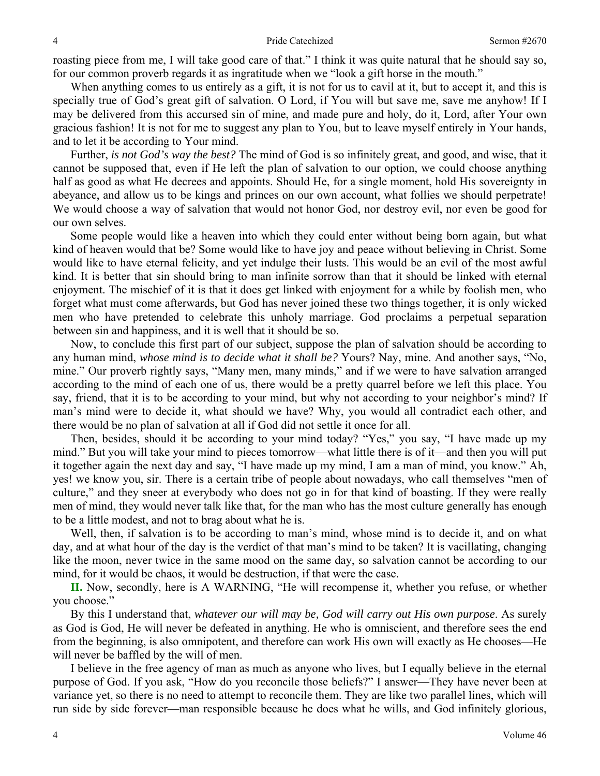roasting piece from me, I will take good care of that." I think it was quite natural that he should say so, for our common proverb regards it as ingratitude when we "look a gift horse in the mouth."

When anything comes to us entirely as a gift, it is not for us to cavil at it, but to accept it, and this is specially true of God's great gift of salvation. O Lord, if You will but save me, save me anyhow! If I may be delivered from this accursed sin of mine, and made pure and holy, do it, Lord, after Your own gracious fashion! It is not for me to suggest any plan to You, but to leave myself entirely in Your hands, and to let it be according to Your mind.

Further, *is not God's way the best?* The mind of God is so infinitely great, and good, and wise, that it cannot be supposed that, even if He left the plan of salvation to our option, we could choose anything half as good as what He decrees and appoints. Should He, for a single moment, hold His sovereignty in abeyance, and allow us to be kings and princes on our own account, what follies we should perpetrate! We would choose a way of salvation that would not honor God, nor destroy evil, nor even be good for our own selves.

Some people would like a heaven into which they could enter without being born again, but what kind of heaven would that be? Some would like to have joy and peace without believing in Christ. Some would like to have eternal felicity, and yet indulge their lusts. This would be an evil of the most awful kind. It is better that sin should bring to man infinite sorrow than that it should be linked with eternal enjoyment. The mischief of it is that it does get linked with enjoyment for a while by foolish men, who forget what must come afterwards, but God has never joined these two things together, it is only wicked men who have pretended to celebrate this unholy marriage. God proclaims a perpetual separation between sin and happiness, and it is well that it should be so.

Now, to conclude this first part of our subject, suppose the plan of salvation should be according to any human mind, *whose mind is to decide what it shall be?* Yours? Nay, mine. And another says, "No, mine." Our proverb rightly says, "Many men, many minds," and if we were to have salvation arranged according to the mind of each one of us, there would be a pretty quarrel before we left this place. You say, friend, that it is to be according to your mind, but why not according to your neighbor's mind? If man's mind were to decide it, what should we have? Why, you would all contradict each other, and there would be no plan of salvation at all if God did not settle it once for all.

Then, besides, should it be according to your mind today? "Yes," you say, "I have made up my mind." But you will take your mind to pieces tomorrow—what little there is of it—and then you will put it together again the next day and say, "I have made up my mind, I am a man of mind, you know." Ah, yes! we know you, sir. There is a certain tribe of people about nowadays, who call themselves "men of culture," and they sneer at everybody who does not go in for that kind of boasting. If they were really men of mind, they would never talk like that, for the man who has the most culture generally has enough to be a little modest, and not to brag about what he is.

Well, then, if salvation is to be according to man's mind, whose mind is to decide it, and on what day, and at what hour of the day is the verdict of that man's mind to be taken? It is vacillating, changing like the moon, never twice in the same mood on the same day, so salvation cannot be according to our mind, for it would be chaos, it would be destruction, if that were the case.

**II.** Now, secondly, here is A WARNING, "He will recompense it, whether you refuse, or whether you choose."

By this I understand that, *whatever our will may be, God will carry out His own purpose*. As surely as God is God, He will never be defeated in anything. He who is omniscient, and therefore sees the end from the beginning, is also omnipotent, and therefore can work His own will exactly as He chooses—He will never be baffled by the will of men.

I believe in the free agency of man as much as anyone who lives, but I equally believe in the eternal purpose of God. If you ask, "How do you reconcile those beliefs?" I answer—They have never been at variance yet, so there is no need to attempt to reconcile them. They are like two parallel lines, which will run side by side forever—man responsible because he does what he wills, and God infinitely glorious,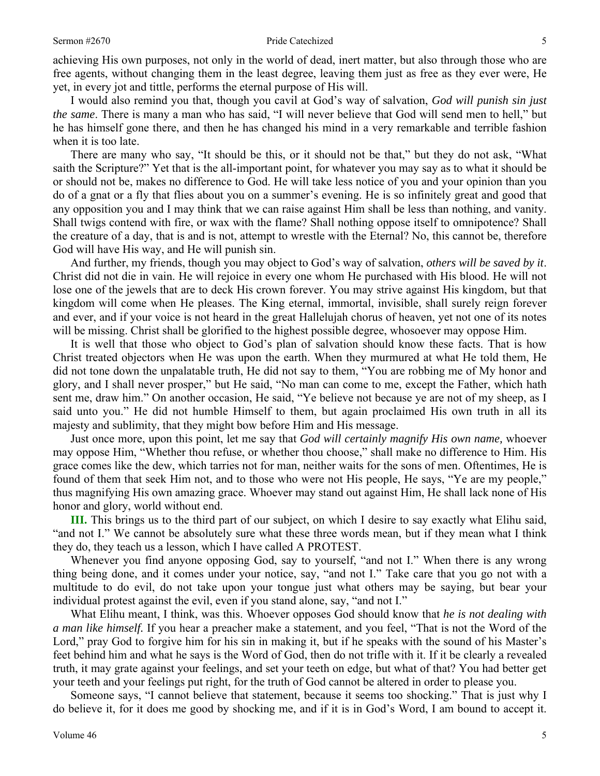achieving His own purposes, not only in the world of dead, inert matter, but also through those who are free agents, without changing them in the least degree, leaving them just as free as they ever were, He yet, in every jot and tittle, performs the eternal purpose of His will.

I would also remind you that, though you cavil at God's way of salvation, *God will punish sin just the same*. There is many a man who has said, "I will never believe that God will send men to hell," but he has himself gone there, and then he has changed his mind in a very remarkable and terrible fashion when it is too late.

There are many who say, "It should be this, or it should not be that," but they do not ask, "What saith the Scripture?" Yet that is the all-important point, for whatever you may say as to what it should be or should not be, makes no difference to God. He will take less notice of you and your opinion than you do of a gnat or a fly that flies about you on a summer's evening. He is so infinitely great and good that any opposition you and I may think that we can raise against Him shall be less than nothing, and vanity. Shall twigs contend with fire, or wax with the flame? Shall nothing oppose itself to omnipotence? Shall the creature of a day, that is and is not, attempt to wrestle with the Eternal? No, this cannot be, therefore God will have His way, and He will punish sin.

And further, my friends, though you may object to God's way of salvation, *others will be saved by it*. Christ did not die in vain. He will rejoice in every one whom He purchased with His blood. He will not lose one of the jewels that are to deck His crown forever. You may strive against His kingdom, but that kingdom will come when He pleases. The King eternal, immortal, invisible, shall surely reign forever and ever, and if your voice is not heard in the great Hallelujah chorus of heaven, yet not one of its notes will be missing. Christ shall be glorified to the highest possible degree, whosoever may oppose Him.

It is well that those who object to God's plan of salvation should know these facts. That is how Christ treated objectors when He was upon the earth. When they murmured at what He told them, He did not tone down the unpalatable truth, He did not say to them, "You are robbing me of My honor and glory, and I shall never prosper," but He said, "No man can come to me, except the Father, which hath sent me, draw him." On another occasion, He said, "Ye believe not because ye are not of my sheep, as I said unto you." He did not humble Himself to them, but again proclaimed His own truth in all its majesty and sublimity, that they might bow before Him and His message.

Just once more, upon this point, let me say that *God will certainly magnify His own name,* whoever may oppose Him, "Whether thou refuse, or whether thou choose," shall make no difference to Him. His grace comes like the dew, which tarries not for man, neither waits for the sons of men. Oftentimes, He is found of them that seek Him not, and to those who were not His people, He says, "Ye are my people," thus magnifying His own amazing grace. Whoever may stand out against Him, He shall lack none of His honor and glory, world without end.

**III.** This brings us to the third part of our subject, on which I desire to say exactly what Elihu said, "and not I." We cannot be absolutely sure what these three words mean, but if they mean what I think they do, they teach us a lesson, which I have called A PROTEST.

Whenever you find anyone opposing God, say to yourself, "and not I." When there is any wrong thing being done, and it comes under your notice, say, "and not I." Take care that you go not with a multitude to do evil, do not take upon your tongue just what others may be saying, but bear your individual protest against the evil, even if you stand alone, say, "and not I."

What Elihu meant, I think, was this. Whoever opposes God should know that *he is not dealing with a man like himself.* If you hear a preacher make a statement, and you feel, "That is not the Word of the Lord," pray God to forgive him for his sin in making it, but if he speaks with the sound of his Master's feet behind him and what he says is the Word of God, then do not trifle with it. If it be clearly a revealed truth, it may grate against your feelings, and set your teeth on edge, but what of that? You had better get your teeth and your feelings put right, for the truth of God cannot be altered in order to please you.

Someone says, "I cannot believe that statement, because it seems too shocking." That is just why I do believe it, for it does me good by shocking me, and if it is in God's Word, I am bound to accept it.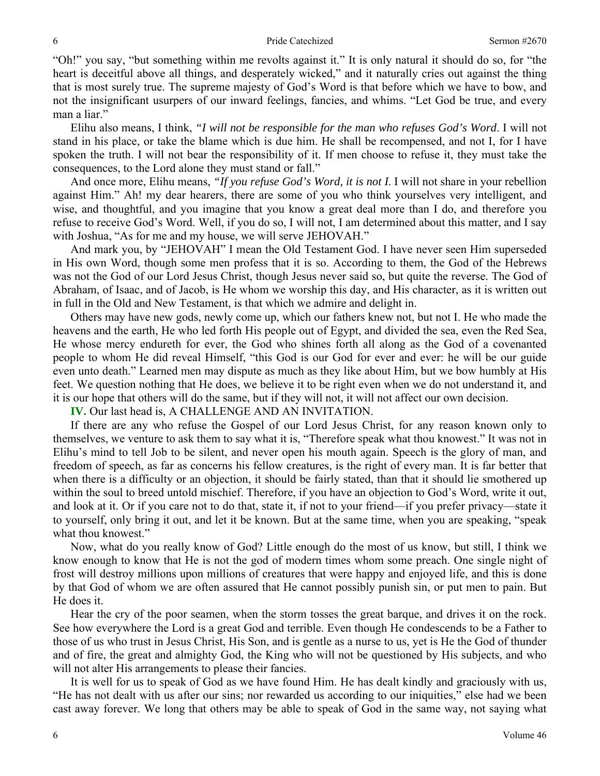"Oh!" you say, "but something within me revolts against it." It is only natural it should do so, for "the heart is deceitful above all things, and desperately wicked," and it naturally cries out against the thing that is most surely true. The supreme majesty of God's Word is that before which we have to bow, and not the insignificant usurpers of our inward feelings, fancies, and whims. "Let God be true, and every man a liar."

Elihu also means, I think, *"I will not be responsible for the man who refuses God's Word*. I will not stand in his place, or take the blame which is due him. He shall be recompensed, and not I, for I have spoken the truth. I will not bear the responsibility of it. If men choose to refuse it, they must take the consequences, to the Lord alone they must stand or fall."

And once more, Elihu means, *"If you refuse God's Word, it is not I*. I will not share in your rebellion against Him." Ah! my dear hearers, there are some of you who think yourselves very intelligent, and wise, and thoughtful, and you imagine that you know a great deal more than I do, and therefore you refuse to receive God's Word. Well, if you do so, I will not, I am determined about this matter, and I say with Joshua, "As for me and my house, we will serve JEHOVAH."

And mark you, by "JEHOVAH" I mean the Old Testament God. I have never seen Him superseded in His own Word, though some men profess that it is so. According to them, the God of the Hebrews was not the God of our Lord Jesus Christ, though Jesus never said so, but quite the reverse. The God of Abraham, of Isaac, and of Jacob, is He whom we worship this day, and His character, as it is written out in full in the Old and New Testament, is that which we admire and delight in.

Others may have new gods, newly come up, which our fathers knew not, but not I. He who made the heavens and the earth, He who led forth His people out of Egypt, and divided the sea, even the Red Sea, He whose mercy endureth for ever, the God who shines forth all along as the God of a covenanted people to whom He did reveal Himself, "this God is our God for ever and ever: he will be our guide even unto death." Learned men may dispute as much as they like about Him, but we bow humbly at His feet. We question nothing that He does, we believe it to be right even when we do not understand it, and it is our hope that others will do the same, but if they will not, it will not affect our own decision.

**IV.** Our last head is, A CHALLENGE AND AN INVITATION.

If there are any who refuse the Gospel of our Lord Jesus Christ, for any reason known only to themselves, we venture to ask them to say what it is, "Therefore speak what thou knowest." It was not in Elihu's mind to tell Job to be silent, and never open his mouth again. Speech is the glory of man, and freedom of speech, as far as concerns his fellow creatures, is the right of every man. It is far better that when there is a difficulty or an objection, it should be fairly stated, than that it should lie smothered up within the soul to breed untold mischief. Therefore, if you have an objection to God's Word, write it out, and look at it. Or if you care not to do that, state it, if not to your friend—if you prefer privacy—state it to yourself, only bring it out, and let it be known. But at the same time, when you are speaking, "speak what thou knowest."

Now, what do you really know of God? Little enough do the most of us know, but still, I think we know enough to know that He is not the god of modern times whom some preach. One single night of frost will destroy millions upon millions of creatures that were happy and enjoyed life, and this is done by that God of whom we are often assured that He cannot possibly punish sin, or put men to pain. But He does it.

Hear the cry of the poor seamen, when the storm tosses the great barque, and drives it on the rock. See how everywhere the Lord is a great God and terrible. Even though He condescends to be a Father to those of us who trust in Jesus Christ, His Son, and is gentle as a nurse to us, yet is He the God of thunder and of fire, the great and almighty God, the King who will not be questioned by His subjects, and who will not alter His arrangements to please their fancies.

It is well for us to speak of God as we have found Him. He has dealt kindly and graciously with us, "He has not dealt with us after our sins; nor rewarded us according to our iniquities," else had we been cast away forever. We long that others may be able to speak of God in the same way, not saying what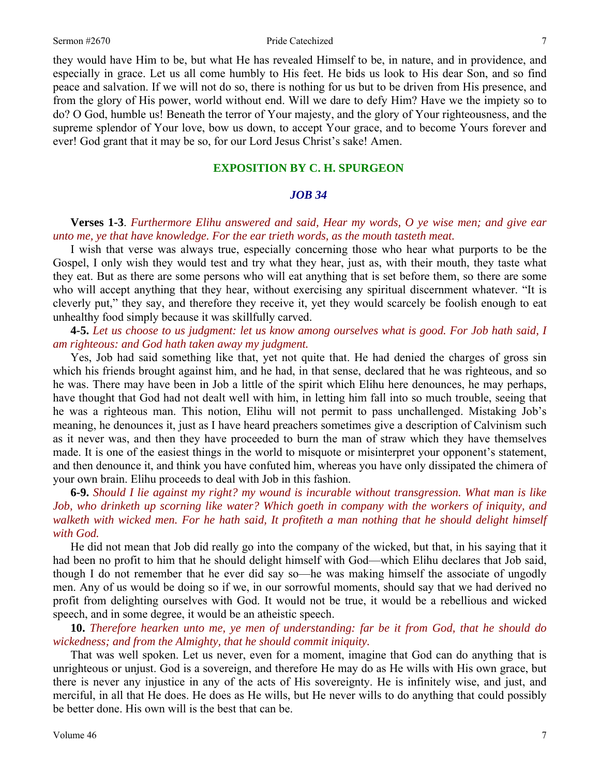#### Sermon #2670 **Pride Catechized** 7

they would have Him to be, but what He has revealed Himself to be, in nature, and in providence, and especially in grace. Let us all come humbly to His feet. He bids us look to His dear Son, and so find peace and salvation. If we will not do so, there is nothing for us but to be driven from His presence, and from the glory of His power, world without end. Will we dare to defy Him? Have we the impiety so to do? O God, humble us! Beneath the terror of Your majesty, and the glory of Your righteousness, and the supreme splendor of Your love, bow us down, to accept Your grace, and to become Yours forever and ever! God grant that it may be so, for our Lord Jesus Christ's sake! Amen.

## **EXPOSITION BY C. H. SPURGEON**

## *JOB 34*

**Verses 1-3**. *Furthermore Elihu answered and said, Hear my words, O ye wise men; and give ear unto me, ye that have knowledge. For the ear trieth words, as the mouth tasteth meat.* 

I wish that verse was always true, especially concerning those who hear what purports to be the Gospel, I only wish they would test and try what they hear, just as, with their mouth, they taste what they eat. But as there are some persons who will eat anything that is set before them, so there are some who will accept anything that they hear, without exercising any spiritual discernment whatever. "It is cleverly put," they say, and therefore they receive it, yet they would scarcely be foolish enough to eat unhealthy food simply because it was skillfully carved.

**4-5.** *Let us choose to us judgment: let us know among ourselves what is good. For Job hath said, I am righteous: and God hath taken away my judgment.* 

Yes, Job had said something like that, yet not quite that. He had denied the charges of gross sin which his friends brought against him, and he had, in that sense, declared that he was righteous, and so he was. There may have been in Job a little of the spirit which Elihu here denounces, he may perhaps, have thought that God had not dealt well with him, in letting him fall into so much trouble, seeing that he was a righteous man. This notion, Elihu will not permit to pass unchallenged. Mistaking Job's meaning, he denounces it, just as I have heard preachers sometimes give a description of Calvinism such as it never was, and then they have proceeded to burn the man of straw which they have themselves made. It is one of the easiest things in the world to misquote or misinterpret your opponent's statement, and then denounce it, and think you have confuted him, whereas you have only dissipated the chimera of your own brain. Elihu proceeds to deal with Job in this fashion.

**6-9.** *Should I lie against my right? my wound is incurable without transgression. What man is like Job, who drinketh up scorning like water? Which goeth in company with the workers of iniquity, and walketh with wicked men. For he hath said, It profiteth a man nothing that he should delight himself with God.* 

He did not mean that Job did really go into the company of the wicked, but that, in his saying that it had been no profit to him that he should delight himself with God—which Elihu declares that Job said, though I do not remember that he ever did say so—he was making himself the associate of ungodly men. Any of us would be doing so if we, in our sorrowful moments, should say that we had derived no profit from delighting ourselves with God. It would not be true, it would be a rebellious and wicked speech, and in some degree, it would be an atheistic speech.

**10.** *Therefore hearken unto me, ye men of understanding: far be it from God, that he should do wickedness; and from the Almighty, that he should commit iniquity.* 

That was well spoken. Let us never, even for a moment, imagine that God can do anything that is unrighteous or unjust. God is a sovereign, and therefore He may do as He wills with His own grace, but there is never any injustice in any of the acts of His sovereignty. He is infinitely wise, and just, and merciful, in all that He does. He does as He wills, but He never wills to do anything that could possibly be better done. His own will is the best that can be.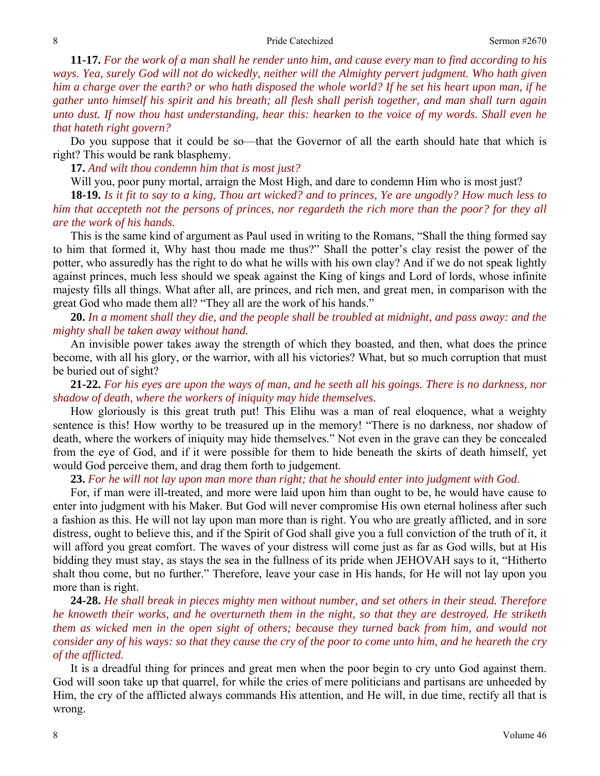**11-17.** *For the work of a man shall he render unto him, and cause every man to find according to his ways. Yea, surely God will not do wickedly, neither will the Almighty pervert judgment. Who hath given him a charge over the earth? or who hath disposed the whole world? If he set his heart upon man, if he gather unto himself his spirit and his breath; all flesh shall perish together, and man shall turn again unto dust. If now thou hast understanding, hear this: hearken to the voice of my words. Shall even he that hateth right govern?* 

Do you suppose that it could be so—that the Governor of all the earth should hate that which is right? This would be rank blasphemy.

**17.** *And wilt thou condemn him that is most just?* 

Will you, poor puny mortal, arraign the Most High, and dare to condemn Him who is most just?

**18-19.** *Is it fit to say to a king, Thou art wicked? and to princes, Ye are ungodly? How much less to him that accepteth not the persons of princes, nor regardeth the rich more than the poor? for they all are the work of his hands.* 

This is the same kind of argument as Paul used in writing to the Romans, "Shall the thing formed say to him that formed it, Why hast thou made me thus?" Shall the potter's clay resist the power of the potter, who assuredly has the right to do what he wills with his own clay? And if we do not speak lightly against princes, much less should we speak against the King of kings and Lord of lords, whose infinite majesty fills all things. What after all, are princes, and rich men, and great men, in comparison with the great God who made them all? "They all are the work of his hands."

**20.** *In a moment shall they die, and the people shall be troubled at midnight, and pass away: and the mighty shall be taken away without hand.* 

An invisible power takes away the strength of which they boasted, and then, what does the prince become, with all his glory, or the warrior, with all his victories? What, but so much corruption that must be buried out of sight?

**21-22.** *For his eyes are upon the ways of man, and he seeth all his goings. There is no darkness, nor shadow of death, where the workers of iniquity may hide themselves.* 

How gloriously is this great truth put! This Elihu was a man of real eloquence, what a weighty sentence is this! How worthy to be treasured up in the memory! "There is no darkness, nor shadow of death, where the workers of iniquity may hide themselves." Not even in the grave can they be concealed from the eye of God, and if it were possible for them to hide beneath the skirts of death himself, yet would God perceive them, and drag them forth to judgement.

**23.** *For he will not lay upon man more than right; that he should enter into judgment with God*.

For, if man were ill-treated, and more were laid upon him than ought to be, he would have cause to enter into judgment with his Maker. But God will never compromise His own eternal holiness after such a fashion as this. He will not lay upon man more than is right. You who are greatly afflicted, and in sore distress, ought to believe this, and if the Spirit of God shall give you a full conviction of the truth of it, it will afford you great comfort. The waves of your distress will come just as far as God wills, but at His bidding they must stay, as stays the sea in the fullness of its pride when JEHOVAH says to it, "Hitherto shalt thou come, but no further." Therefore, leave your case in His hands, for He will not lay upon you more than is right.

**24-28.** *He shall break in pieces mighty men without number, and set others in their stead. Therefore he knoweth their works, and he overturneth them in the night, so that they are destroyed. He striketh them as wicked men in the open sight of others; because they turned back from him, and would not consider any of his ways: so that they cause the cry of the poor to come unto him, and he heareth the cry of the afflicted.* 

It is a dreadful thing for princes and great men when the poor begin to cry unto God against them. God will soon take up that quarrel, for while the cries of mere politicians and partisans are unheeded by Him, the cry of the afflicted always commands His attention, and He will, in due time, rectify all that is wrong.